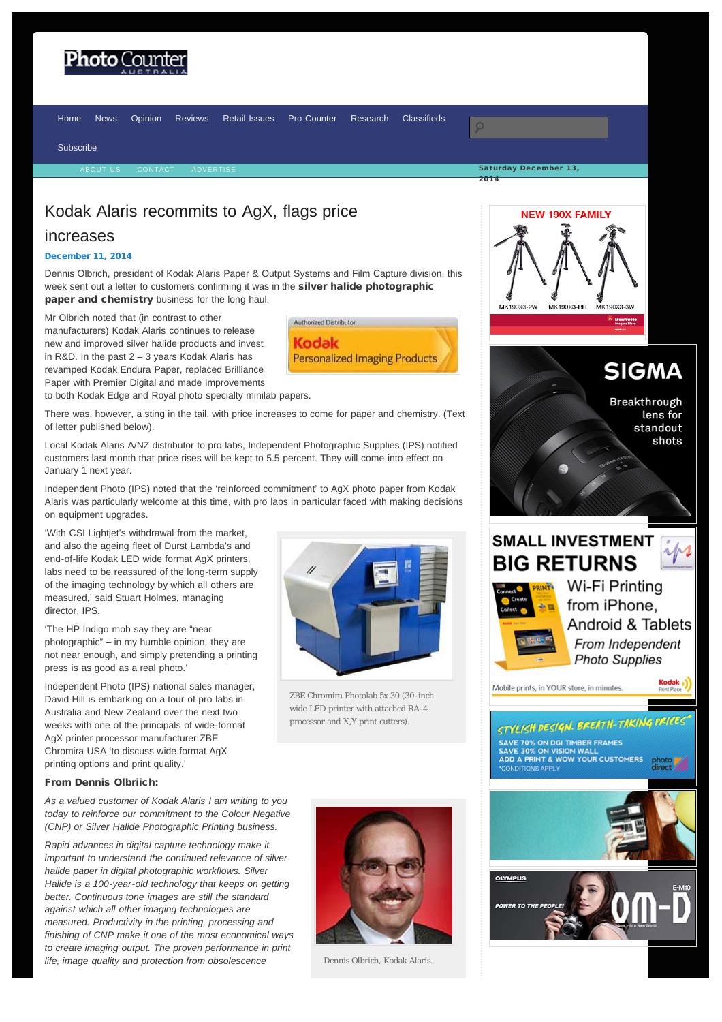# <span id="page-0-0"></span>hoto Coun'

2014 [Home](http://www.photocounter.com.au/) [News](http://www.photocounter.com.au/category/news/) [Opinion](http://www.photocounter.com.au/category/opinion/) [Reviews](http://www.photoreview.com.au/reviews/) [Retail Issues](http://www.photocounter.com.au/category/retail-issues/) [Pro Counter](http://procounter.com.au/) [Research](http://www.photocounter.com.au/category/research/) [Classifieds](http://www.photocounter.com.au/category/classifieds/) [Subscribe](http://www.photocounter.com.au/subscribe/) [ABOUT US](http://www.photocounter.com.au/about-us/) [CONTACT](http://www.photocounter.com.au/contact/) [ADVERTISE](http://www.photocounter.com.au/advertising/)

> Authorized Distributor Kodak

**Personalized Imaging Products** 

## Kodak Alaris recommits to AgX, flags price

### increases

#### [December 11, 2014](#page-0-0)

Dennis Olbrich, president of Kodak Alaris Paper & Output Systems and Film Capture division, this week sent out a letter to customers confirming it was in the silver halide photographic paper and chemistry business for the long haul.

Mr Olbrich noted that (in contrast to other manufacturers) Kodak Alaris continues to release new and improved silver halide products and invest in R&D. In the past 2 – 3 years Kodak Alaris has revamped Kodak Endura Paper, replaced Brilliance Paper with Premier Digital and made improvements

to both Kodak Edge and Royal photo specialty minilab papers.

There was, however, a sting in the tail, with price increases to come for paper and chemistry. (Text of letter published below).

Local Kodak Alaris A/NZ distributor to pro labs, Independent Photographic Supplies (IPS) notified customers last month that price rises will be kept to 5.5 percent. They will come into effect on January 1 next year.

Independent Photo (IPS) noted that the 'reinforced commitment' to AgX photo paper from Kodak Alaris was particularly welcome at this time, with pro labs in particular faced with making decisions on equipment upgrades.

'With CSI Lightjet's withdrawal from the market, and also the ageing fleet of Durst Lambda's and end-of-life Kodak LED wide format AgX printers, labs need to be reassured of the long-term supply of the imaging technology by which all others are measured,' said Stuart Holmes, managing director, IPS.

'The HP Indigo mob say they are "near photographic" – in my humble opinion, they are not near enough, and simply pretending a printing press is as good as a real photo.'

Independent Photo (IPS) national sales manager, David Hill is embarking on a tour of pro labs in Australia and New Zealand over the next two weeks with one of the principals of wide-format AgX printer processor manufacturer ZBE Chromira USA 'to discuss wide format AgX printing options and print quality.'

### From Dennis Olbriich:

*As a valued customer of Kodak Alaris I am writing to you today to reinforce our commitment to the Colour Negative (CNP) or Silver Halide Photographic Printing business.*

*Rapid advances in digital capture technology make it important to understand the continued relevance of silver halide paper in digital photographic workflows. Silver Halide is a 100-year-old technology that keeps on getting better. Continuous tone images are still the standard against which all other imaging technologies are measured. Productivity in the printing, processing and finishing of CNP make it one of the most economical ways to create imaging output. The proven performance in print life, image quality and protection from obsolescence*



wide LED printer with attached RA-4 processor and X,Y print cutters).



Dennis Olbrich, Kodak Alaris.









Mobile prints, in YOUR store, in minutes.



STYLISH DESIGN. BREATH-TAKING **SAVE 70% ON DGI TIMBER FRAMES** SAVE 30% ON VISION WALL<br>ADD A PRINT & WOW YOUR CUSTOMERS